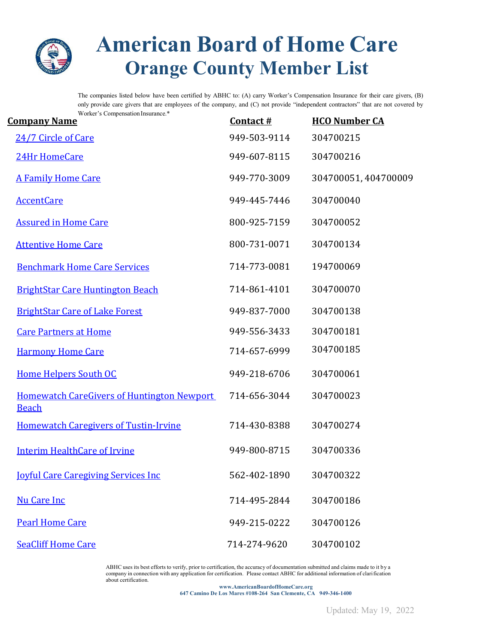

## **American Board of Home Care Orange County Member List**

The companies listed below have been certified by ABHC to: (A) carry Worker's Compensation Insurance for their care givers, (B) only provide care givers that are employees of the company, and (C) not provide "independent contractors" that are not covered by Worker's Compensation Insurance.\*

| <b>Company Name</b>                                               | Contact $#$  | <b>HCO Number CA</b> |
|-------------------------------------------------------------------|--------------|----------------------|
| 24/7 Circle of Care                                               | 949-503-9114 | 304700215            |
| 24Hr HomeCare                                                     | 949-607-8115 | 304700216            |
| <b>A Family Home Care</b>                                         | 949-770-3009 | 304700051, 404700009 |
| <b>AccentCare</b>                                                 | 949-445-7446 | 304700040            |
| <b>Assured in Home Care</b>                                       | 800-925-7159 | 304700052            |
| <b>Attentive Home Care</b>                                        | 800-731-0071 | 304700134            |
| <b>Benchmark Home Care Services</b>                               | 714-773-0081 | 194700069            |
| <b>BrightStar Care Huntington Beach</b>                           | 714-861-4101 | 304700070            |
| <b>BrightStar Care of Lake Forest</b>                             | 949-837-7000 | 304700138            |
| <b>Care Partners at Home</b>                                      | 949-556-3433 | 304700181            |
| <b>Harmony Home Care</b>                                          | 714-657-6999 | 304700185            |
| <b>Home Helpers South OC</b>                                      | 949-218-6706 | 304700061            |
| <b>Homewatch CareGivers of Huntington Newport</b><br><b>Beach</b> | 714-656-3044 | 304700023            |
| <b>Homewatch Caregivers of Tustin-Irvine</b>                      | 714-430-8388 | 304700274            |
| <b>Interim HealthCare of Irvine</b>                               | 949-800-8715 | 304700336            |
| <b><u>Iovful Care Caregiving Services Inc</u></b>                 | 562-402-1890 | 304700322            |
| <b>Nu Care Inc</b>                                                | 714-495-2844 | 304700186            |
| <b>Pearl Home Care</b>                                            | 949-215-0222 | 304700126            |
| <b>SeaCliff Home Care</b>                                         | 714-274-9620 | 304700102            |

ABHC uses its best efforts to verify, prior to certification, the accuracy of documentation submitted and claims made to it by a company in connection with any application for certification. Please contact ABHC for additional information of clarification about certification.

**www.AmericanBoardofHomeCare.org 647 Camino De Los Mares #108-264 San Clemente, CA 949-346-1400**